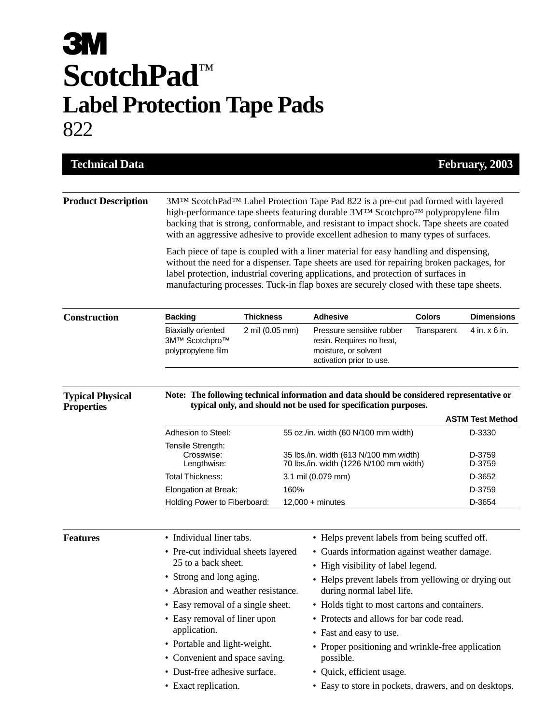## **3M ScotchPad**™ **Label Protection Tape Pads** 822

| <b>Technical Data</b>                        |                                                                                                                                                                                                                                                                                                                                                                                                                                                                                                                                                                                                                                                                  |                 |                                                                                   |                                                                                                                                    |                  | February, 2003    |  |  |
|----------------------------------------------|------------------------------------------------------------------------------------------------------------------------------------------------------------------------------------------------------------------------------------------------------------------------------------------------------------------------------------------------------------------------------------------------------------------------------------------------------------------------------------------------------------------------------------------------------------------------------------------------------------------------------------------------------------------|-----------------|-----------------------------------------------------------------------------------|------------------------------------------------------------------------------------------------------------------------------------|------------------|-------------------|--|--|
| <b>Product Description</b>                   | 3M <sup>TM</sup> ScotchPad <sup>TM</sup> Label Protection Tape Pad 822 is a pre-cut pad formed with layered<br>high-performance tape sheets featuring durable 3M™ Scotchpro™ polypropylene film<br>backing that is strong, conformable, and resistant to impact shock. Tape sheets are coated<br>with an aggressive adhesive to provide excellent adhesion to many types of surfaces.<br>Each piece of tape is coupled with a liner material for easy handling and dispensing,<br>without the need for a dispenser. Tape sheets are used for repairing broken packages, for<br>label protection, industrial covering applications, and protection of surfaces in |                 |                                                                                   |                                                                                                                                    |                  |                   |  |  |
| <b>Construction</b>                          | manufacturing processes. Tuck-in flap boxes are securely closed with these tape sheets.<br><b>Thickness</b><br><b>Backing</b>                                                                                                                                                                                                                                                                                                                                                                                                                                                                                                                                    |                 |                                                                                   | <b>Adhesive</b>                                                                                                                    | <b>Colors</b>    | <b>Dimensions</b> |  |  |
|                                              | <b>Biaxially oriented</b><br>3M™ Scotchpro™<br>polypropylene film                                                                                                                                                                                                                                                                                                                                                                                                                                                                                                                                                                                                | 2 mil (0.05 mm) |                                                                                   | Pressure sensitive rubber<br>resin. Requires no heat,<br>moisture, or solvent<br>activation prior to use.                          | Transparent      | 4 in. x 6 in.     |  |  |
| <b>Typical Physical</b><br><b>Properties</b> | Note: The following technical information and data should be considered representative or<br>typical only, and should not be used for specification purposes.<br><b>ASTM Test Method</b>                                                                                                                                                                                                                                                                                                                                                                                                                                                                         |                 |                                                                                   |                                                                                                                                    |                  |                   |  |  |
|                                              | Adhesion to Steel:                                                                                                                                                                                                                                                                                                                                                                                                                                                                                                                                                                                                                                               |                 |                                                                                   | 55 oz./in. width (60 N/100 mm width)                                                                                               |                  | D-3330            |  |  |
|                                              | Tensile Strength:<br>Crosswise:<br>Lengthwise:                                                                                                                                                                                                                                                                                                                                                                                                                                                                                                                                                                                                                   |                 | 35 lbs./in. width (613 N/100 mm width)<br>70 lbs./in. width (1226 N/100 mm width) |                                                                                                                                    | D-3759<br>D-3759 |                   |  |  |
|                                              | <b>Total Thickness:</b>                                                                                                                                                                                                                                                                                                                                                                                                                                                                                                                                                                                                                                          |                 |                                                                                   | 3.1 mil (0.079 mm)                                                                                                                 |                  | D-3652            |  |  |
|                                              | Elongation at Break:                                                                                                                                                                                                                                                                                                                                                                                                                                                                                                                                                                                                                                             |                 | 160%                                                                              |                                                                                                                                    |                  | D-3759            |  |  |
|                                              | Holding Power to Fiberboard:                                                                                                                                                                                                                                                                                                                                                                                                                                                                                                                                                                                                                                     |                 |                                                                                   | $12,000 +$ minutes                                                                                                                 |                  | D-3654            |  |  |
| <b>Features</b>                              | • Individual liner tabs.<br>• Pre-cut individual sheets layered<br>25 to a back sheet.                                                                                                                                                                                                                                                                                                                                                                                                                                                                                                                                                                           |                 |                                                                                   | • Helps prevent labels from being scuffed off.<br>• Guards information against weather damage.<br>High visibility of label legend. |                  |                   |  |  |
|                                              |                                                                                                                                                                                                                                                                                                                                                                                                                                                                                                                                                                                                                                                                  |                 |                                                                                   |                                                                                                                                    |                  |                   |  |  |
|                                              | • Strong and long aging.<br>• Abrasion and weather resistance.                                                                                                                                                                                                                                                                                                                                                                                                                                                                                                                                                                                                   |                 |                                                                                   | • Helps prevent labels from yellowing or drying out<br>during normal label life.                                                   |                  |                   |  |  |
|                                              | • Easy removal of a single sheet.                                                                                                                                                                                                                                                                                                                                                                                                                                                                                                                                                                                                                                |                 |                                                                                   | • Holds tight to most cartons and containers.                                                                                      |                  |                   |  |  |
|                                              | • Easy removal of liner upon                                                                                                                                                                                                                                                                                                                                                                                                                                                                                                                                                                                                                                     |                 |                                                                                   | • Protects and allows for bar code read.                                                                                           |                  |                   |  |  |
|                                              | application.                                                                                                                                                                                                                                                                                                                                                                                                                                                                                                                                                                                                                                                     |                 |                                                                                   | • Fast and easy to use.                                                                                                            |                  |                   |  |  |
|                                              | • Portable and light-weight.                                                                                                                                                                                                                                                                                                                                                                                                                                                                                                                                                                                                                                     |                 |                                                                                   | • Proper positioning and wrinkle-free application                                                                                  |                  |                   |  |  |
|                                              | • Convenient and space saving.                                                                                                                                                                                                                                                                                                                                                                                                                                                                                                                                                                                                                                   |                 |                                                                                   | possible.                                                                                                                          |                  |                   |  |  |
|                                              | • Dust-free adhesive surface.                                                                                                                                                                                                                                                                                                                                                                                                                                                                                                                                                                                                                                    |                 |                                                                                   | · Quick, efficient usage.                                                                                                          |                  |                   |  |  |